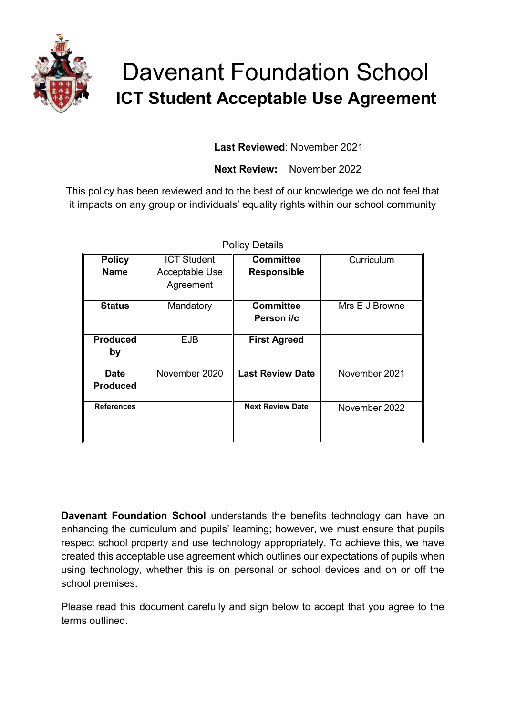

# Davenant Foundation School  **ICT Student Acceptable Use Agreement**

**Last Reviewed**: November 2021

**Next Review:** November 2022

This policy has been reviewed and to the best of our knowledge we do not feel that it impacts on any group or individuals' equality rights within our school community

| <b>Policy Details</b>          |                             |                                |                |
|--------------------------------|-----------------------------|--------------------------------|----------------|
| <b>Policy</b>                  | <b>ICT Student</b>          | <b>Committee</b>               | Curriculum     |
| <b>Name</b>                    | Acceptable Use<br>Agreement | <b>Responsible</b>             |                |
| <b>Status</b>                  | Mandatory                   | <b>Committee</b><br>Person i/c | Mrs E J Browne |
| <b>Produced</b><br>by          | <b>EJB</b>                  | <b>First Agreed</b>            |                |
| <b>Date</b><br><b>Produced</b> | November 2020               | <b>Last Review Date</b>        | November 2021  |
| <b>References</b>              |                             | <b>Next Review Date</b>        | November 2022  |

**Davenant Foundation School** understands the benefits technology can have on enhancing the curriculum and pupils' learning; however, we must ensure that pupils respect school property and use technology appropriately. To achieve this, we have created this acceptable use agreement which outlines our expectations of pupils when using technology, whether this is on personal or school devices and on or off the school premises.

Please read this document carefully and sign below to accept that you agree to the terms outlined.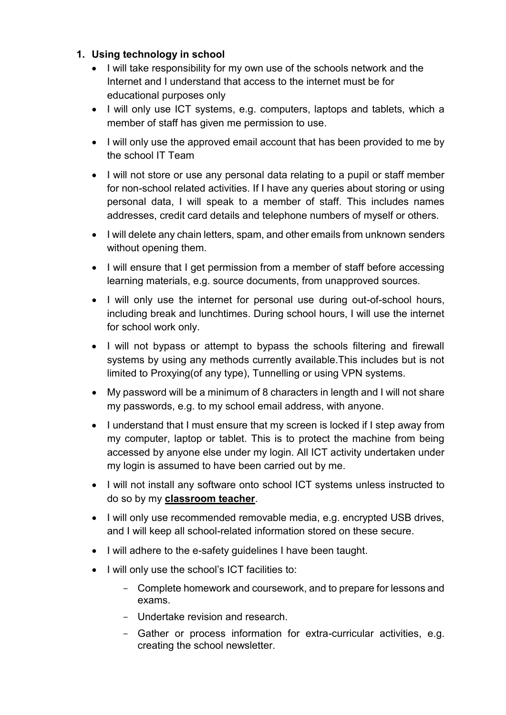## **1. Using technology in school**

- I will take responsibility for my own use of the schools network and the Internet and I understand that access to the internet must be for educational purposes only
- I will only use ICT systems, e.g. computers, laptops and tablets, which a member of staff has given me permission to use.
- I will only use the approved email account that has been provided to me by the school IT Team
- I will not store or use any personal data relating to a pupil or staff member for non-school related activities. If I have any queries about storing or using personal data, I will speak to a member of staff. This includes names addresses, credit card details and telephone numbers of myself or others.
- I will delete any chain letters, spam, and other emails from unknown senders without opening them.
- I will ensure that I get permission from a member of staff before accessing learning materials, e.g. source documents, from unapproved sources.
- I will only use the internet for personal use during out-of-school hours, including break and lunchtimes. During school hours, I will use the internet for school work only.
- I will not bypass or attempt to bypass the schools filtering and firewall systems by using any methods currently available.This includes but is not limited to Proxying(of any type), Tunnelling or using VPN systems.
- My password will be a minimum of 8 characters in length and I will not share my passwords, e.g. to my school email address, with anyone.
- I understand that I must ensure that my screen is locked if I step away from my computer, laptop or tablet. This is to protect the machine from being accessed by anyone else under my login. All ICT activity undertaken under my login is assumed to have been carried out by me.
- I will not install any software onto school ICT systems unless instructed to do so by my **classroom teacher**.
- I will only use recommended removable media, e.g. encrypted USB drives, and I will keep all school-related information stored on these secure.
- I will adhere to the e-safety guidelines I have been taught.
- I will only use the school's ICT facilities to:
	- Complete homework and coursework, and to prepare for lessons and exams.
	- Undertake revision and research.
	- Gather or process information for extra-curricular activities, e.g. creating the school newsletter.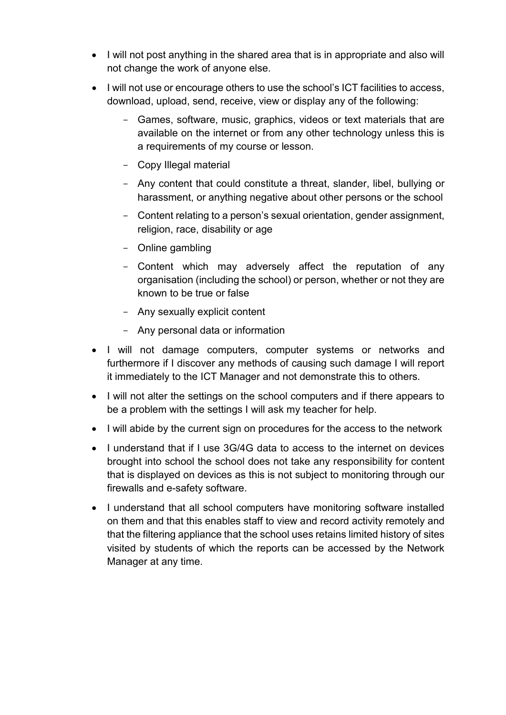- I will not post anything in the shared area that is in appropriate and also will not change the work of anyone else.
- I will not use or encourage others to use the school's ICT facilities to access, download, upload, send, receive, view or display any of the following:
	- Games, software, music, graphics, videos or text materials that are available on the internet or from any other technology unless this is a requirements of my course or lesson.
	- Copy Illegal material
	- Any content that could constitute a threat, slander, libel, bullying or harassment, or anything negative about other persons or the school
	- Content relating to a person's sexual orientation, gender assignment, religion, race, disability or age
	- Online gambling
	- Content which may adversely affect the reputation of any organisation (including the school) or person, whether or not they are known to be true or false
	- Any sexually explicit content
	- Any personal data or information
- I will not damage computers, computer systems or networks and furthermore if I discover any methods of causing such damage I will report it immediately to the ICT Manager and not demonstrate this to others.
- I will not alter the settings on the school computers and if there appears to be a problem with the settings I will ask my teacher for help.
- I will abide by the current sign on procedures for the access to the network
- I understand that if I use 3G/4G data to access to the internet on devices brought into school the school does not take any responsibility for content that is displayed on devices as this is not subject to monitoring through our firewalls and e-safety software.
- I understand that all school computers have monitoring software installed on them and that this enables staff to view and record activity remotely and that the filtering appliance that the school uses retains limited history of sites visited by students of which the reports can be accessed by the Network Manager at any time.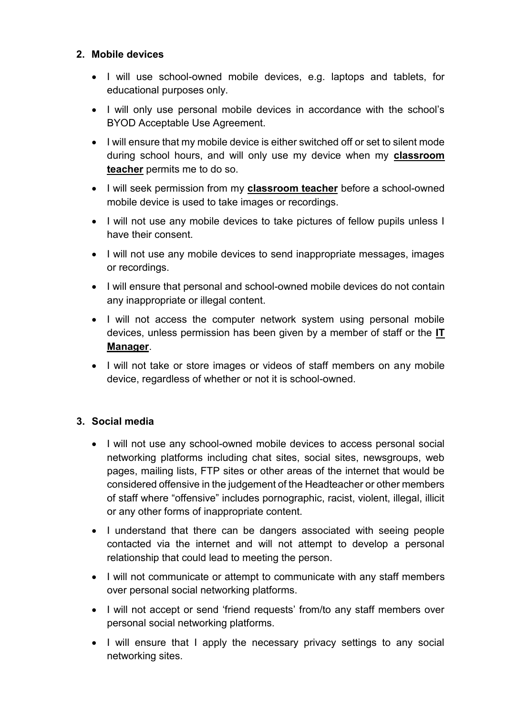### **2. Mobile devices**

- I will use school-owned mobile devices, e.g. laptops and tablets, for educational purposes only.
- I will only use personal mobile devices in accordance with the school's BYOD Acceptable Use Agreement.
- I will ensure that my mobile device is either switched off or set to silent mode during school hours, and will only use my device when my **classroom teacher** permits me to do so.
- I will seek permission from my **classroom teacher** before a school-owned mobile device is used to take images or recordings.
- I will not use any mobile devices to take pictures of fellow pupils unless I have their consent.
- I will not use any mobile devices to send inappropriate messages, images or recordings.
- I will ensure that personal and school-owned mobile devices do not contain any inappropriate or illegal content.
- I will not access the computer network system using personal mobile devices, unless permission has been given by a member of staff or the **IT Manager**.
- I will not take or store images or videos of staff members on any mobile device, regardless of whether or not it is school-owned.

### **3. Social media**

- I will not use any school-owned mobile devices to access personal social networking platforms including chat sites, social sites, newsgroups, web pages, mailing lists, FTP sites or other areas of the internet that would be considered offensive in the judgement of the Headteacher or other members of staff where "offensive" includes pornographic, racist, violent, illegal, illicit or any other forms of inappropriate content.
- I understand that there can be dangers associated with seeing people contacted via the internet and will not attempt to develop a personal relationship that could lead to meeting the person.
- I will not communicate or attempt to communicate with any staff members over personal social networking platforms.
- I will not accept or send 'friend requests' from/to any staff members over personal social networking platforms.
- I will ensure that I apply the necessary privacy settings to any social networking sites.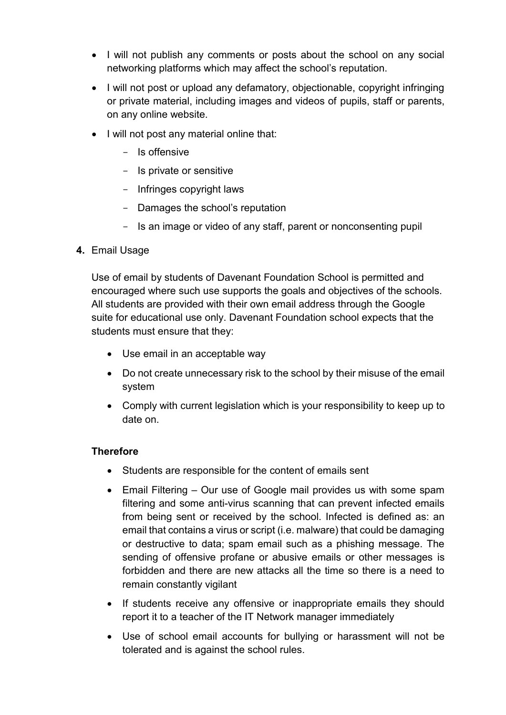- I will not publish any comments or posts about the school on any social networking platforms which may affect the school's reputation.
- I will not post or upload any defamatory, objectionable, copyright infringing or private material, including images and videos of pupils, staff or parents, on any online website.
- I will not post any material online that:
	- Is offensive
	- Is private or sensitive
	- Infringes copyright laws
	- Damages the school's reputation
	- Is an image or video of any staff, parent or nonconsenting pupil

### **4.** Email Usage

Use of email by students of Davenant Foundation School is permitted and encouraged where such use supports the goals and objectives of the schools. All students are provided with their own email address through the Google suite for educational use only. Davenant Foundation school expects that the students must ensure that they:

- Use email in an acceptable way
- Do not create unnecessary risk to the school by their misuse of the email system
- Comply with current legislation which is your responsibility to keep up to date on.

### **Therefore**

- Students are responsible for the content of emails sent
- Email Filtering Our use of Google mail provides us with some spam filtering and some anti-virus scanning that can prevent infected emails from being sent or received by the school. Infected is defined as: an email that contains a virus or script (i.e. malware) that could be damaging or destructive to data; spam email such as a phishing message. The sending of offensive profane or abusive emails or other messages is forbidden and there are new attacks all the time so there is a need to remain constantly vigilant
- If students receive any offensive or inappropriate emails they should report it to a teacher of the IT Network manager immediately
- Use of school email accounts for bullying or harassment will not be tolerated and is against the school rules.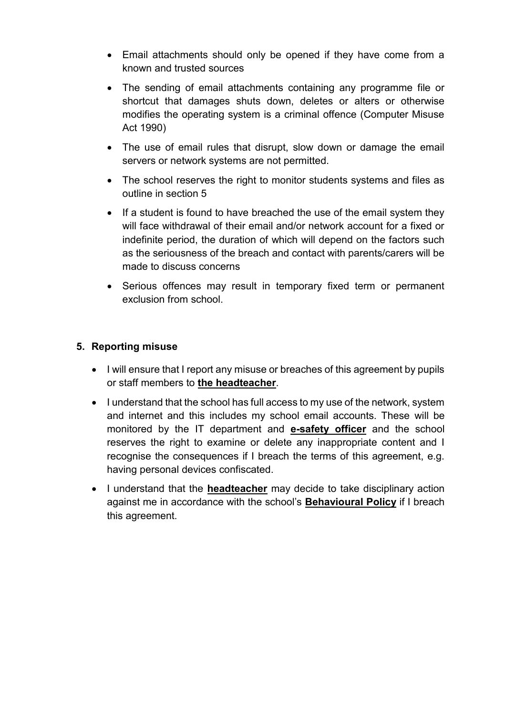- Email attachments should only be opened if they have come from a known and trusted sources
- The sending of email attachments containing any programme file or shortcut that damages shuts down, deletes or alters or otherwise modifies the operating system is a criminal offence (Computer Misuse Act 1990)
- The use of email rules that disrupt, slow down or damage the email servers or network systems are not permitted.
- The school reserves the right to monitor students systems and files as outline in section 5
- If a student is found to have breached the use of the email system they will face withdrawal of their email and/or network account for a fixed or indefinite period, the duration of which will depend on the factors such as the seriousness of the breach and contact with parents/carers will be made to discuss concerns
- Serious offences may result in temporary fixed term or permanent exclusion from school.

### **5. Reporting misuse**

- I will ensure that I report any misuse or breaches of this agreement by pupils or staff members to **the headteacher**.
- I understand that the school has full access to my use of the network, system and internet and this includes my school email accounts. These will be monitored by the IT department and **e-safety officer** and the school reserves the right to examine or delete any inappropriate content and I recognise the consequences if I breach the terms of this agreement, e.g. having personal devices confiscated.
- I understand that the **headteacher** may decide to take disciplinary action against me in accordance with the school's **Behavioural Policy** if I breach this agreement.